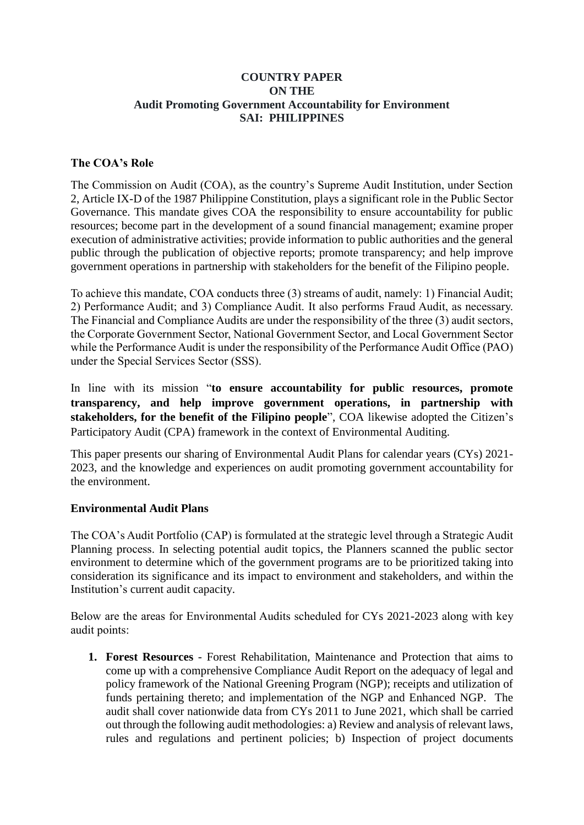### **COUNTRY PAPER ON THE Audit Promoting Government Accountability for Environment SAI: PHILIPPINES**

### **The COA's Role**

The Commission on Audit (COA), as the country's Supreme Audit Institution, under Section 2, Article IX-D of the 1987 Philippine Constitution, plays a significant role in the Public Sector Governance. This mandate gives COA the responsibility to ensure accountability for public resources; become part in the development of a sound financial management; examine proper execution of administrative activities; provide information to public authorities and the general public through the publication of objective reports; promote transparency; and help improve government operations in partnership with stakeholders for the benefit of the Filipino people.

To achieve this mandate, COA conducts three (3) streams of audit, namely: 1) Financial Audit; 2) Performance Audit; and 3) Compliance Audit. It also performs Fraud Audit, as necessary. The Financial and Compliance Audits are under the responsibility of the three (3) audit sectors, the Corporate Government Sector, National Government Sector, and Local Government Sector while the Performance Audit is under the responsibility of the Performance Audit Office (PAO) under the Special Services Sector (SSS).

In line with its mission "**to ensure accountability for public resources, promote transparency, and help improve government operations, in partnership with stakeholders, for the benefit of the Filipino people**", COA likewise adopted the Citizen's Participatory Audit (CPA) framework in the context of Environmental Auditing.

This paper presents our sharing of Environmental Audit Plans for calendar years (CYs) 2021- 2023, and the knowledge and experiences on audit promoting government accountability for the environment.

## **Environmental Audit Plans**

The COA's Audit Portfolio (CAP) is formulated at the strategic level through a Strategic Audit Planning process. In selecting potential audit topics, the Planners scanned the public sector environment to determine which of the government programs are to be prioritized taking into consideration its significance and its impact to environment and stakeholders, and within the Institution's current audit capacity.

Below are the areas for Environmental Audits scheduled for CYs 2021-2023 along with key audit points:

**1. Forest Resources** - Forest Rehabilitation, Maintenance and Protection that aims to come up with a comprehensive Compliance Audit Report on the adequacy of legal and policy framework of the National Greening Program (NGP); receipts and utilization of funds pertaining thereto; and implementation of the NGP and Enhanced NGP. The audit shall cover nationwide data from CYs 2011 to June 2021, which shall be carried out through the following audit methodologies: a) Review and analysis of relevant laws, rules and regulations and pertinent policies; b) Inspection of project documents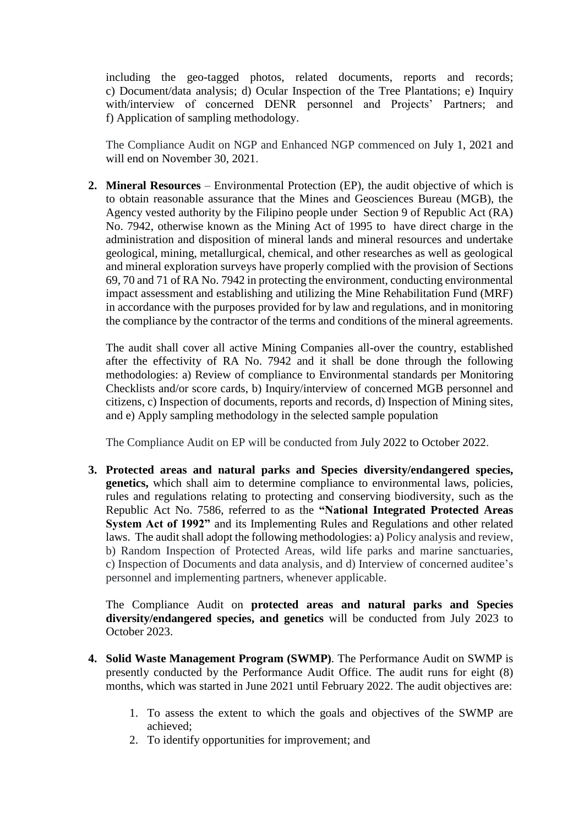including the geo-tagged photos, related documents, reports and records; c) Document/data analysis; d) Ocular Inspection of the Tree Plantations; e) Inquiry with/interview of concerned DENR personnel and Projects' Partners; and f) Application of sampling methodology.

The Compliance Audit on NGP and Enhanced NGP commenced on July 1, 2021 and will end on November 30, 2021.

**2. Mineral Resources** – Environmental Protection (EP), the audit objective of which is to obtain reasonable assurance that the Mines and Geosciences Bureau (MGB), the Agency vested authority by the Filipino people under Section 9 of Republic Act (RA) No. 7942, otherwise known as the Mining Act of 1995 to have direct charge in the administration and disposition of mineral lands and mineral resources and undertake geological, mining, metallurgical, chemical, and other researches as well as geological and mineral exploration surveys have properly complied with the provision of Sections 69, 70 and 71 of RA No. 7942 in protecting the environment, conducting environmental impact assessment and establishing and utilizing the Mine Rehabilitation Fund (MRF) in accordance with the purposes provided for by law and regulations, and in monitoring the compliance by the contractor of the terms and conditions of the mineral agreements.

The audit shall cover all active Mining Companies all-over the country, established after the effectivity of RA No. 7942 and it shall be done through the following methodologies: a) Review of compliance to Environmental standards per Monitoring Checklists and/or score cards, b) Inquiry/interview of concerned MGB personnel and citizens, c) Inspection of documents, reports and records, d) Inspection of Mining sites, and e) Apply sampling methodology in the selected sample population

The Compliance Audit on EP will be conducted from July 2022 to October 2022.

**3. Protected areas and natural parks and Species diversity/endangered species, genetics,** which shall aim to determine compliance to environmental laws, policies, rules and regulations relating to protecting and conserving biodiversity, such as the Republic Act No. 7586, referred to as the **"National Integrated Protected Areas System Act of 1992"** and its Implementing Rules and Regulations and other related laws. The audit shall adopt the following methodologies: a) Policy analysis and review, b) Random Inspection of Protected Areas, wild life parks and marine sanctuaries, c) Inspection of Documents and data analysis, and d) Interview of concerned auditee's personnel and implementing partners, whenever applicable.

The Compliance Audit on **protected areas and natural parks and Species diversity/endangered species, and genetics** will be conducted from July 2023 to October 2023.

- **4. Solid Waste Management Program (SWMP)**. The Performance Audit on SWMP is presently conducted by the Performance Audit Office. The audit runs for eight (8) months, which was started in June 2021 until February 2022. The audit objectives are:
	- 1. To assess the extent to which the goals and objectives of the SWMP are achieved;
	- 2. To identify opportunities for improvement; and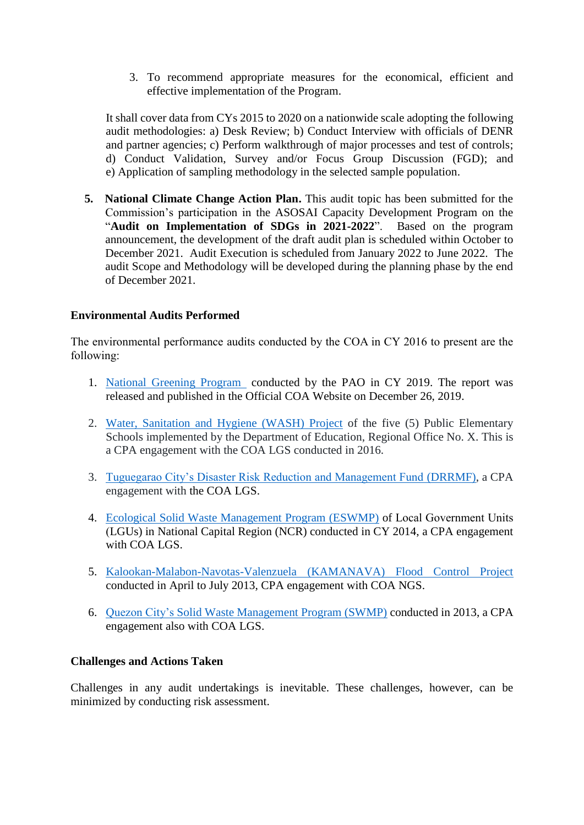3. To recommend appropriate measures for the economical, efficient and effective implementation of the Program.

It shall cover data from CYs 2015 to 2020 on a nationwide scale adopting the following audit methodologies: a) Desk Review; b) Conduct Interview with officials of DENR and partner agencies; c) Perform walkthrough of major processes and test of controls; d) Conduct Validation, Survey and/or Focus Group Discussion (FGD); and e) Application of sampling methodology in the selected sample population.

**5. National Climate Change Action Plan.** This audit topic has been submitted for the Commission's participation in the ASOSAI Capacity Development Program on the "**Audit on Implementation of SDGs in 2021-2022**". Based on the program announcement, the development of the draft audit plan is scheduled within October to December 2021. Audit Execution is scheduled from January 2022 to June 2022. The audit Scope and Methodology will be developed during the planning phase by the end of December 2021.

# **Environmental Audits Performed**

The environmental performance audits conducted by the COA in CY 2016 to present are the following:

- 1. [National Greening Program](https://coa.gov.ph/index.php/cy-2019/category/8085-national-greening-program) conducted by the PAO in CY 2019. The report was released and published in the Official COA Website on December 26, 2019.
- 2. [Water, Sanitation and Hygiene \(WASH\) Project](https://coa.gov.ph/index.php/reports/citizen-participatory-audit-reports/category/6573-water-sanitation-and-hygiene-wash-project) of the five (5) Public Elementary Schools implemented by the Department of Education, Regional Office No. X. This is a CPA engagement with the COA LGS conducted in 2016.
- 3. [Tuguegarao City's Disaster Risk Reduction and Management Fund](https://coa.gov.ph/index.php/reports/citizen-participatory-audit-reports/category/6570-local-disaster-risk-reduction-and-management-fund-ldrrmf) (DRRMF), a CPA engagement with the COA LGS.
- 4. [Ecological Solid Waste Management Program \(ESWMP\)](https://coa.gov.ph/index.php/reports/citizen-participatory-audit-reports/category/6571-solid-waste-management-swm-program) of Local Government Units (LGUs) in National Capital Region (NCR) conducted in CY 2014, a CPA engagement with COA LGS.
- 5. [Kalookan-Malabon-Navotas-Valenzuela \(KAMANAVA\) Flood Control Project](https://coa.gov.ph/index.php/reports/citizen-participatory-audit-reports/category/6569-kamanava-flood-control-project) conducted in April to July 2013, CPA engagement with COA NGS.
- 6. [Quezon City's Solid Waste Management Program \(SWMP\)](https://coa.gov.ph/index.php/reports/citizen-participatory-audit-reports/category/6571-solid-waste-management-swm-program) conducted in 2013, a CPA engagement also with COA LGS.

## **Challenges and Actions Taken**

Challenges in any audit undertakings is inevitable. These challenges, however, can be minimized by conducting risk assessment.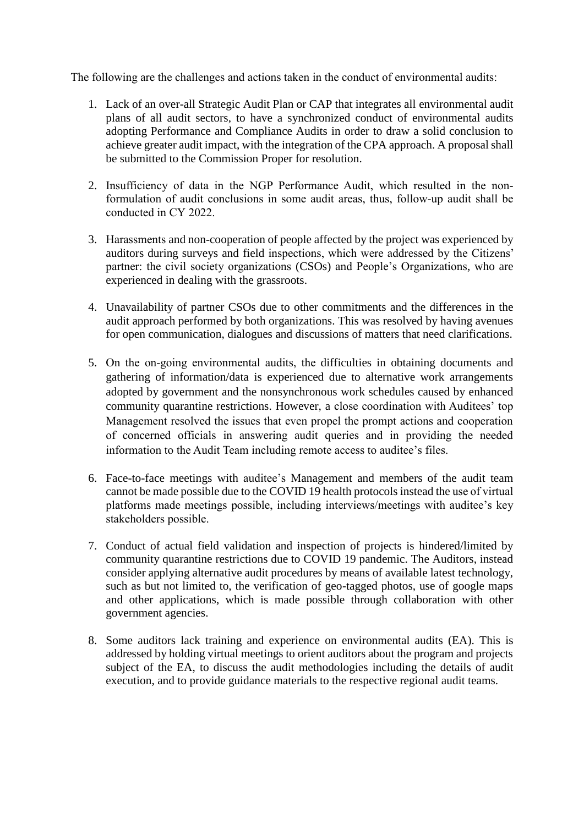The following are the challenges and actions taken in the conduct of environmental audits:

- 1. Lack of an over-all Strategic Audit Plan or CAP that integrates all environmental audit plans of all audit sectors, to have a synchronized conduct of environmental audits adopting Performance and Compliance Audits in order to draw a solid conclusion to achieve greater audit impact, with the integration of the CPA approach. A proposal shall be submitted to the Commission Proper for resolution.
- 2. Insufficiency of data in the NGP Performance Audit, which resulted in the nonformulation of audit conclusions in some audit areas, thus, follow-up audit shall be conducted in CY 2022.
- 3. Harassments and non-cooperation of people affected by the project was experienced by auditors during surveys and field inspections, which were addressed by the Citizens' partner: the civil society organizations (CSOs) and People's Organizations, who are experienced in dealing with the grassroots.
- 4. Unavailability of partner CSOs due to other commitments and the differences in the audit approach performed by both organizations. This was resolved by having avenues for open communication, dialogues and discussions of matters that need clarifications.
- 5. On the on-going environmental audits, the difficulties in obtaining documents and gathering of information/data is experienced due to alternative work arrangements adopted by government and the nonsynchronous work schedules caused by enhanced community quarantine restrictions. However, a close coordination with Auditees' top Management resolved the issues that even propel the prompt actions and cooperation of concerned officials in answering audit queries and in providing the needed information to the Audit Team including remote access to auditee's files.
- 6. Face-to-face meetings with auditee's Management and members of the audit team cannot be made possible due to the COVID 19 health protocols instead the use of virtual platforms made meetings possible, including interviews/meetings with auditee's key stakeholders possible.
- 7. Conduct of actual field validation and inspection of projects is hindered/limited by community quarantine restrictions due to COVID 19 pandemic. The Auditors, instead consider applying alternative audit procedures by means of available latest technology, such as but not limited to, the verification of geo-tagged photos, use of google maps and other applications, which is made possible through collaboration with other government agencies.
- 8. Some auditors lack training and experience on environmental audits (EA). This is addressed by holding virtual meetings to orient auditors about the program and projects subject of the EA, to discuss the audit methodologies including the details of audit execution, and to provide guidance materials to the respective regional audit teams.